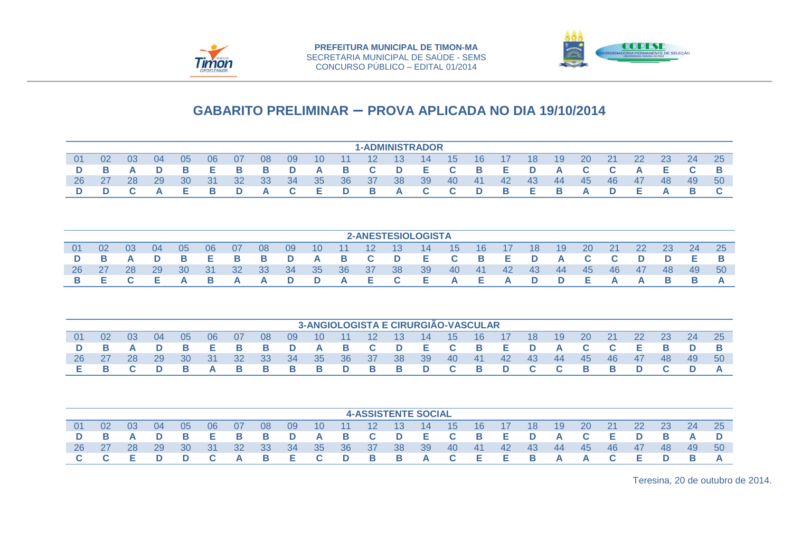



|     |    |                |    |    |         |    |    |    |    |    |                   |    | <b>1-ADMINISTRADOR</b> |              |     |    |     |     |    |    |     |     |    |    |
|-----|----|----------------|----|----|---------|----|----|----|----|----|-------------------|----|------------------------|--------------|-----|----|-----|-----|----|----|-----|-----|----|----|
| -01 | 02 | 0 <sub>3</sub> | 04 | 05 | 06      | 07 | 08 | 09 | 10 | 11 | $12 \overline{ }$ | 13 | 14                     | 15           | 16  |    | 18  | 19  | 20 | 21 | 22  | 23  | 24 | 25 |
|     |    |                |    |    | e and a |    | в  | D  | A  | в  | C.                | D  | Е.                     |              | B   | F. | D   | A   |    |    |     |     |    |    |
| 26  | 27 | 28             | 29 | 30 | 31      | 32 | 33 | 34 | 35 | 36 | -37               | 38 | 39                     | 40           | -41 | 42 | -43 | -44 | 45 | 46 | -47 | -48 | 49 | 50 |
|     |    |                |    |    | в       |    | A  |    | ь  | D  | <b>B</b>          | A  | C.                     | $\mathbf{C}$ | D   | в  | Е.  |     | A  |    |     |     |    |    |

|     |    |    |    |    |    |                 |    |    |    |    |                 |    | 2-ANESTESIOLOGISTA |    |     |     |     |     |     |    |     |     |     |    |
|-----|----|----|----|----|----|-----------------|----|----|----|----|-----------------|----|--------------------|----|-----|-----|-----|-----|-----|----|-----|-----|-----|----|
| -01 | 02 | 03 | 04 | 05 | 06 | 07              | 08 | 09 | 10 | 11 | 12 <sup>°</sup> | 13 | 14                 | 15 | 16  |     | 18  | 19  | 20  | 21 | 22  | 23  | 24  | 25 |
|     |    |    |    |    |    |                 | B  |    | A  | в  | $\mathbf{C}$    | D  | Е.                 |    | в   |     | D   | Δ   |     |    |     |     |     |    |
| 26  | 27 | 28 | 29 | 30 | 31 | 32 <sup>°</sup> | 33 | 34 | 35 | 36 | -37             | 38 | 39                 | 40 | -41 | -42 | -43 | -44 | -45 | 46 | -47 | -48 | -49 | 50 |
|     |    |    |    |    |    |                 | A  |    | D  | A  | E.              |    | E.                 | А  | -   | А   | D   | D   | E.  |    | A   |     |     |    |

|           |    |     |     |           |      |      |      |      |                 |       |                         |                 | 3-ANGIOLOGISTA E CIRURGIÃO-VASCULAR |            |                   |     |     |     |               |     |       |           |    |     |
|-----------|----|-----|-----|-----------|------|------|------|------|-----------------|-------|-------------------------|-----------------|-------------------------------------|------------|-------------------|-----|-----|-----|---------------|-----|-------|-----------|----|-----|
| 01        | 02 | -03 | -04 | 05        | 06   | -07  | 08   | - 09 | 10 <sup>°</sup> | $-11$ | $\overline{12}$         | - 13 -          | $\overline{14}$                     | $-15$      | $\blacksquare$ 16 | -17 | 18  | -19 | <sup>20</sup> | -21 | -22   | <b>23</b> | 24 | 25  |
|           |    |     | D   |           | E.   | B.   | - в  | D    | <b>A</b>        | В.    | $\overline{\mathbf{C}}$ | $\blacksquare$  | DI ELI                              | <b>C</b> B |                   | E D |     | A   | $\mathbf{C}$  |     | - E 1 |           |    |     |
| <b>26</b> | 27 | 28  | 29  | <b>30</b> | - 31 | - 32 | - 33 | -34  | 35 <sub>1</sub> | -36   | - 37                    | 38 <sup>°</sup> | -39                                 | -40        | -41               | -42 | -43 | -44 | - 45          | -46 | -47   | -48       | 49 | -50 |
|           |    |     |     |           |      |      | B    | в    | в               | D     | - B                     |                 | D                                   |            | <b>B</b>          |     |     |     | B.            |     |       |           |    |     |

|    |    |    |    |    |    |    |    |    |    |                 |     |    | <b>4-ASSISTENTE SOCIAL</b> |    |     |     |     |              |    |    |    |    |    |     |
|----|----|----|----|----|----|----|----|----|----|-----------------|-----|----|----------------------------|----|-----|-----|-----|--------------|----|----|----|----|----|-----|
| 01 | 02 | 03 | 04 | 05 | 06 | 07 | 08 | 09 | 10 | 11 <sup>1</sup> | 12  | 13 | 14                         | 15 | 16  | 17  | 18  | 19           | 20 |    | 22 | 23 | 24 | 25  |
|    |    |    |    |    | Е  |    | в  | D  | A  | B               | C.  | D  | E                          |    | B   | E.  | D   | A            |    |    |    |    |    |     |
| 26 | 27 | 28 | 29 | 30 | 31 | 32 | 33 | 34 | 35 | 36              | -37 | 38 | 39                         | 40 | -41 | -42 | -43 | -44          | 45 | 46 | 47 | 48 | 49 | -50 |
|    |    |    |    |    |    |    | в  |    | C. | D               | B.  | B. | A                          |    | Е   | Е.  | B   | $\mathbf{a}$ | A  |    |    |    |    |     |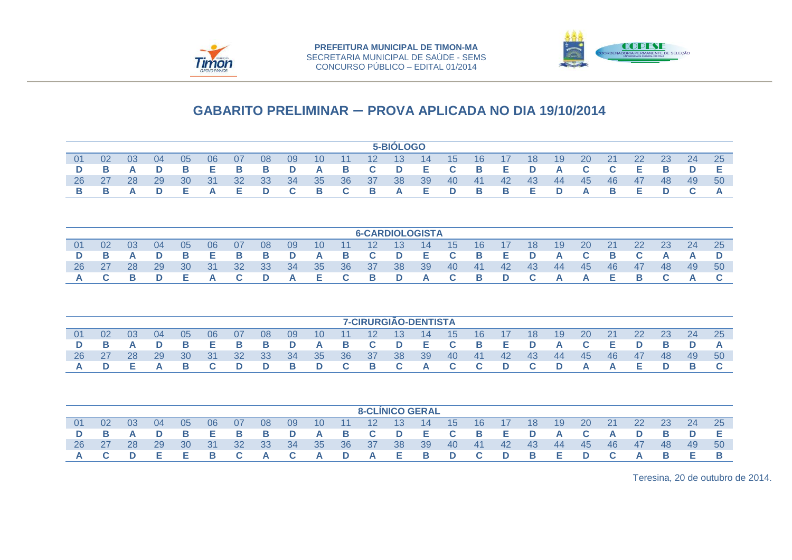



|    |    |    |    |    |    |    |    |    |    |    |                        | 5-BIOLOGO |    |    |    |    |    |    |    |    |    |    |    |    |
|----|----|----|----|----|----|----|----|----|----|----|------------------------|-----------|----|----|----|----|----|----|----|----|----|----|----|----|
| 01 | 02 | 03 | 04 | 05 | 06 | 07 | 08 | 09 | 10 | 11 | 12                     | 13        | 14 | 15 | 16 | 17 | 18 | 19 | 20 | 21 | 22 | 23 | 24 | 25 |
| D  | В  | A  | D  | в  | Е  | В  | в  | D  | A  | в  | C                      | D         | Е  | C  | B  | Е  | D  | A  | C  | С  | Е  | в  | D  | Е  |
| 26 | 27 | 28 | 29 | 30 | 31 | 32 | 33 | 34 | 35 | 36 | 37                     | 38        | 39 | 40 | 41 | 42 | 43 | 44 | 45 | 46 | 47 | 48 | 49 | 50 |
| в  | В  | A  | D  | Е  | A  | Е  | D  | C  | В  | C  | в                      | А         | Е  | D  | В  | в  | Е  | D  | A  | В  | Е  | D  | C  | A  |
|    |    |    |    |    |    |    |    |    |    |    |                        |           |    |    |    |    |    |    |    |    |    |    |    |    |
|    |    |    |    |    |    |    |    |    |    |    | <b>6-CARDIOLOGISTA</b> |           |    |    |    |    |    |    |    |    |    |    |    |    |
| 01 | 02 | 03 | 04 | 05 | 06 | 07 | 08 | 09 | 10 | 11 | 12                     | 13        | 14 | 15 | 16 | 17 | 18 | 19 | 20 | 21 | 22 | 23 | 24 | 25 |
| D  | В  | A  | D  | в  | Е  | В  | B  | D  | A  | в  | C                      | D         | Е  | C  | В  | Е  | D  | A  | C  | в  | C  | A  | A  | D  |
| 26 | 27 | 28 | 29 | 30 | 31 | 32 | 33 | 34 | 35 | 36 | 37                     | 38        | 39 | 40 | 41 | 42 | 43 | 44 | 45 | 46 | 47 | 48 | 49 | 50 |
| А  | C  | в  | D  | Е  | A  | C  | D  | A  | Е  | C  | В                      | D         | A  | C  | В  | D  | C  | A  | A  | Е  | В  | C  | A  | C  |
|    |    |    |    |    |    |    |    |    |    |    |                        |           |    |    |    |    |    |    |    |    |    |    |    |    |
|    |    |    |    |    |    |    |    |    |    |    | 7-CIRURGIÃO-DENTISTA   |           |    |    |    |    |    |    |    |    |    |    |    |    |
| 01 | 02 | 03 | 04 | 05 | 06 | 07 | 08 | 09 | 10 | 11 | 12                     | 13        | 14 | 15 | 16 | 17 | 18 | 19 | 20 | 21 | 22 | 23 | 24 | 25 |
| D  | В  | A  | D  | в  | Е  | B  | B  | D  | A  | В  | C                      | D         | Е  | C  | B  | Е  | D  | A  | C  | Е  | D  | в  | D  | A  |
| 26 | 27 | 28 | 29 | 30 | 31 | 32 | 33 | 34 | 35 | 36 | 37                     | 38        | 39 | 40 | 41 | 42 | 43 | 44 | 45 | 46 | 47 | 48 | 49 | 50 |
| А  | D  | Е  | A  | В  | C  | D  | D  | В  | D  | C  | В                      | C         | A  | C  | C  | D  | C  | D  | A  | А  | Е  | D  | В  | C  |
|    |    |    |    |    |    |    |    |    |    |    |                        |           |    |    |    |    |    |    |    |    |    |    |    |    |
|    |    |    |    |    |    |    |    |    |    |    | <b>8-CLÍNICO GERAL</b> |           |    |    |    |    |    |    |    |    |    |    |    |    |
| 01 | 02 | 03 | 04 | 05 | 06 | 07 | 08 | 09 | 10 | 11 | 12                     | 13        | 14 | 15 | 16 | 17 | 18 | 19 | 20 | 21 | 22 | 23 | 24 | 25 |
| D  | В  | A  | D  | в  | Е  | в  | В  | D  | A  | в  | C                      | D         | Е  | C  | B  | Е  | D  | A  | C  | A  | D  | в  | D  | Е  |
| 26 | 27 | 28 | 29 | 30 | 31 | 32 | 33 | 34 | 35 | 36 | 37                     | 38        | 39 | 40 | 41 | 42 | 43 | 44 | 45 | 46 | 47 | 48 | 49 | 50 |
| А  | C  | D  | Е  | Е  | в  | С  | А  | С  | A  | D  | A                      | Е         | В  | D  | С  | D  | в  | Е  | D  | С  | A  | в  | Е  | в  |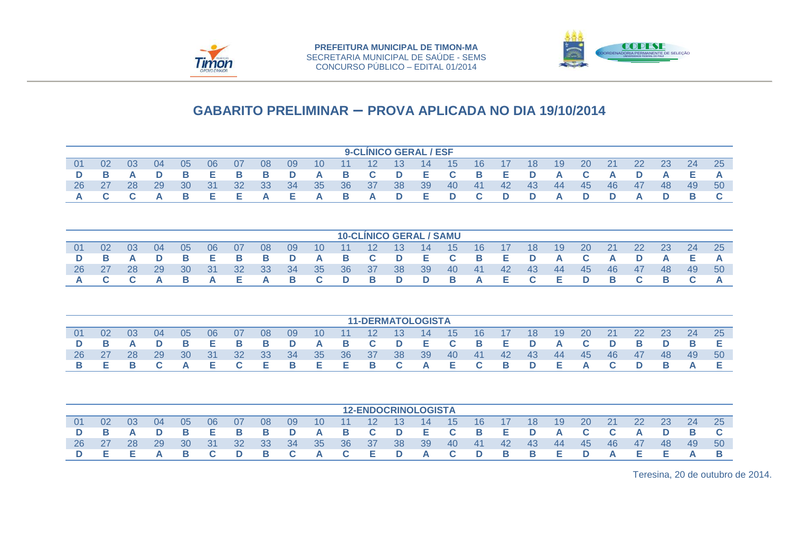



|         |                                                                                                                                                                                                                                                                                                                                                                                                                                                                                                                               |         |         |         |         |         |         |         |         |         |         | <b>9-CLINICO GERAL / ESF</b>   |         |         |         |         |         |         |         |         |         |         |         |         |
|---------|-------------------------------------------------------------------------------------------------------------------------------------------------------------------------------------------------------------------------------------------------------------------------------------------------------------------------------------------------------------------------------------------------------------------------------------------------------------------------------------------------------------------------------|---------|---------|---------|---------|---------|---------|---------|---------|---------|---------|--------------------------------|---------|---------|---------|---------|---------|---------|---------|---------|---------|---------|---------|---------|
| 01      | 02                                                                                                                                                                                                                                                                                                                                                                                                                                                                                                                            | 03      | 04      | 05      | 06      | 07      | 08      | 09      | 10      | 11      | 12      | 13                             | 14      | 15      | 16      | 17      | 18      | 19      | 20      | 21      | 22      | 23      | 24      | 25      |
| D       | В                                                                                                                                                                                                                                                                                                                                                                                                                                                                                                                             | A       | D       | В       | Е       | в       | B       | D       | A       | в       | C       | D                              | Е       | C       | B       | Е       | D       | A       | C       | A       | D       | A       | Е       | A       |
| 26      | 27                                                                                                                                                                                                                                                                                                                                                                                                                                                                                                                            | 28      | 29      | 30      | 31      | 32      | 33      | 34      | 35      | 36      | 37      | 38                             | 39      | 40      | 41      | 42      | 43      | 44      | 45      | 46      | 47      | 48      | 49      | 50      |
| A       | C.                                                                                                                                                                                                                                                                                                                                                                                                                                                                                                                            | C       | A       | B       | Е       | Е       | A       | Е       | A       | в       | A       | D                              | Е       | D       | C       | D       | D       | A       | D       | D       | A       | D       | B       | C.      |
|         |                                                                                                                                                                                                                                                                                                                                                                                                                                                                                                                               |         |         |         |         |         |         |         |         |         |         |                                |         |         |         |         |         |         |         |         |         |         |         |         |
|         |                                                                                                                                                                                                                                                                                                                                                                                                                                                                                                                               |         |         |         |         |         |         |         |         |         |         | <b>10-CLINICO GERAL / SAMU</b> |         |         |         |         |         |         |         |         |         |         |         |         |
| 01      |                                                                                                                                                                                                                                                                                                                                                                                                                                                                                                                               |         |         |         |         |         |         |         |         |         |         |                                |         |         |         |         |         |         |         |         |         |         |         | 25      |
| D       |                                                                                                                                                                                                                                                                                                                                                                                                                                                                                                                               |         |         |         |         |         |         |         |         |         |         |                                |         |         |         |         |         |         |         |         |         |         |         | A       |
| 26      |                                                                                                                                                                                                                                                                                                                                                                                                                                                                                                                               |         |         |         |         |         |         |         |         |         |         |                                |         |         |         |         |         |         |         |         |         |         |         |         |
| А       |                                                                                                                                                                                                                                                                                                                                                                                                                                                                                                                               |         |         |         |         |         |         |         |         |         |         |                                |         |         |         |         |         |         |         |         |         |         |         | A       |
|         | 02<br>03<br>04<br>05<br>06<br>07<br>08<br>16<br>18<br>20<br>21<br>22<br>23<br>24<br>09<br>12<br>13<br>17<br>19<br>10<br>11<br>14<br>15<br>Е<br>C<br>Е<br>C<br>Е<br>C<br>Е<br>В<br>D<br>B<br>В<br>В<br>В<br>D<br>в<br>D<br>D<br>D<br>A<br>A<br>A<br>A<br>A<br>28<br>31<br>32<br>33<br>36<br>27<br>29<br>30<br>34<br>35<br>37<br>38<br>39<br>40<br>41<br>42<br>43<br>44<br>45<br>46<br>47<br>49<br>50<br>48<br>C<br>Е<br>C<br>C.<br>C<br>B<br>Е<br>B<br>В<br>В<br>Е<br>В<br>C<br>В<br>C<br>A<br>A<br>A<br>D<br>D<br>D<br>A<br>D |         |         |         |         |         |         |         |         |         |         |                                |         |         |         |         |         |         |         |         |         |         |         |         |
|         |                                                                                                                                                                                                                                                                                                                                                                                                                                                                                                                               |         |         |         |         |         |         |         |         |         |         |                                |         |         |         |         |         |         |         |         |         |         |         |         |
|         |                                                                                                                                                                                                                                                                                                                                                                                                                                                                                                                               |         |         |         |         |         |         |         |         |         |         | <b>11-DERMATOLOGISTA</b>       |         |         |         |         |         |         |         |         |         |         |         |         |
| 01      | 02                                                                                                                                                                                                                                                                                                                                                                                                                                                                                                                            | 03      | 04      | 05      | 06      | 07      | 08      | 09      | 10      | 11      | 12      | 13                             | 14      | 15      | 16      | 17      | 18      | 19      | 20      | 21      | 22      | 23      | 24      | 25      |
| D       | В                                                                                                                                                                                                                                                                                                                                                                                                                                                                                                                             | A       | D       | В       | Е       | в       | B       | D       | A       | в       | C       | D                              | Е       | C       | в       | Е       | D       | A       | C       | D       | в       | D       | в       | Е       |
| 26      | 27                                                                                                                                                                                                                                                                                                                                                                                                                                                                                                                            | 28      | 29      | 30      | 31      | 32      | 33      | 34      | 35      | 36      | 37      | 38                             | 39      | 40      | 41      | 42      | 43      | 44      | 45      | 46      | 47      | 48      | 49      | 50      |
| в       | Е                                                                                                                                                                                                                                                                                                                                                                                                                                                                                                                             | В       | С       | Α       | Е       | C       | Е       | в       | E       | Е       | в       | C                              | A       | E       | C       | В       | D       | E       | A       | C       | D       | В       | А       | Е       |
|         |                                                                                                                                                                                                                                                                                                                                                                                                                                                                                                                               |         |         |         |         |         |         |         |         |         |         |                                |         |         |         |         |         |         |         |         |         |         |         |         |
|         |                                                                                                                                                                                                                                                                                                                                                                                                                                                                                                                               |         |         |         |         |         |         |         |         |         |         | <b>12-ENDOCRINOLOGISTA</b>     |         |         |         |         |         |         |         |         |         |         |         |         |
| 01      | 02                                                                                                                                                                                                                                                                                                                                                                                                                                                                                                                            | 03      | 04      | 05      | 06      | 07      | 08      | 09      | 10      | 11      | 12      | 13                             | 14      | 15      | 16      | 17      | 18      | 19      | 20      | 21      | 22      | 23      | 24      | 25      |
| D       | в                                                                                                                                                                                                                                                                                                                                                                                                                                                                                                                             | A       | D       | В       | Е       | в       | в       | D       | A       | в       | C.      | D                              | Е       | C       | в       | Е       | D       | A       | C       | C       | A       | D       | в       | C       |
| 26<br>D | 27<br>Е.                                                                                                                                                                                                                                                                                                                                                                                                                                                                                                                      | 28<br>Е | 29<br>A | 30<br>B | 31<br>C | 32<br>D | 33<br>В | 34<br>С | 35<br>A | 36<br>C | 37<br>Е | 38<br>D                        | 39<br>A | 40<br>C | 41<br>D | 42<br>В | 43<br>В | 44<br>Е | 45<br>D | 46<br>A | 47<br>Е | 48<br>Е | 49<br>A | 50<br>В |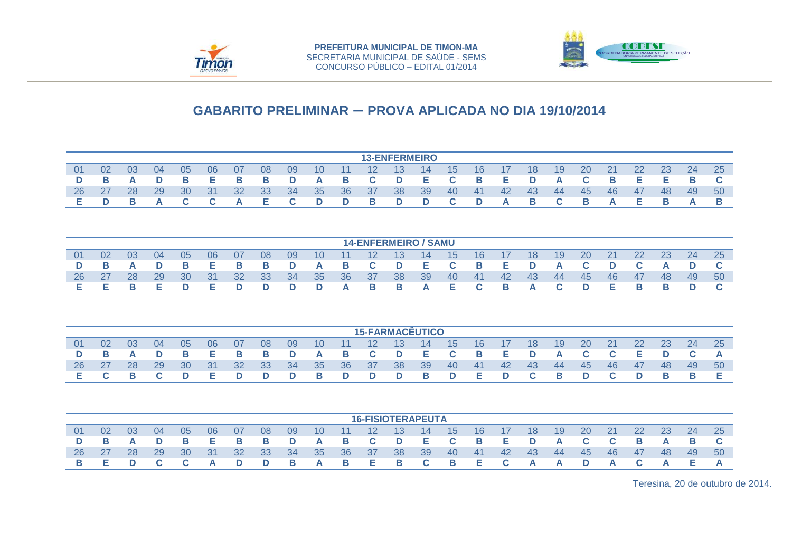



|                |    |    |    |    |    |    |    |    |    |    |                   | <b>13-ENFERMEIRO</b> |    |                 |     |     |     |    |    |    |     |    |    |    |
|----------------|----|----|----|----|----|----|----|----|----|----|-------------------|----------------------|----|-----------------|-----|-----|-----|----|----|----|-----|----|----|----|
| 0 <sup>1</sup> | 02 | 03 | 04 | 05 | 06 | 07 | 08 | 09 | 10 | 11 | $12 \overline{ }$ | 13                   | 14 | 15 <sup>1</sup> | 16  |     | 18  | 19 | 20 | 21 | 22  |    | 24 | 25 |
| D              | В  |    |    | в  | Е  | В  | В  |    | A  | В  | C                 | D                    | Е  | C               | В   | Е   | D   |    | C  | в  | Е   | Е  | в  |    |
| 26             | 27 | 28 | 29 | 30 | 31 | 32 | 33 | 34 | 35 | 36 | 37                | 38                   | 39 | 40              | -41 | -42 | -43 | 44 | 45 | 46 | -47 | 48 | 49 | 50 |
| Е.             |    | R  | A  |    |    | A  |    |    |    |    | в                 |                      |    |                 | D   | A   | B   | r  | в  |    | Е   |    |    |    |
|                |    |    |    |    |    |    |    |    |    |    |                   |                      |    |                 |     |     |     |    |    |    |     |    |    |    |

|    |    |    |    |    |     |    |     |               |    |          |                 |          | <b>14-ENFERMEIRO / SAMU</b> |    |                         |          |                |     |           |     |          |     |     |    |
|----|----|----|----|----|-----|----|-----|---------------|----|----------|-----------------|----------|-----------------------------|----|-------------------------|----------|----------------|-----|-----------|-----|----------|-----|-----|----|
| 01 | 02 | 03 | 04 | 05 | 06  | 07 | 08  | 09            | 10 | 11       | 12 <sup>°</sup> | -13-     | 14                          | 15 | 16                      | -17      | 18             | 19  | <b>20</b> | 21  | 22       | 23  | 24  | 25 |
|    |    | A  | D  |    | Е.  |    | — в | D             | A  | <b>B</b> | <b>C</b> D      |          | - E 1                       |    | <b>B</b>                | Е.       | <b>D</b>       | A   |           |     |          |     |     |    |
| 26 | 27 | 28 | 29 | 30 | -31 | 32 | 33  | <sup>34</sup> | 35 | 36       | - 37            | 38       | -39                         | 40 | -41                     | 42       | -43            | -44 | -45       | -46 | -47      | -48 | -49 | 50 |
|    |    |    | E. |    | F.  |    | D   | D             | D  | A        | <b>B</b>        | <b>B</b> | <b>A</b>                    | E. | $\overline{\mathbf{C}}$ | <b>B</b> | $\blacksquare$ |     | D         | E.  | <b>B</b> |     |     |    |

|                |    |    |     |    |     |    |    |     |                 |    |                 |          | <b>15-FARMACEUTICO</b> |          |                 |     |              |          |           |     |    |     |     |    |
|----------------|----|----|-----|----|-----|----|----|-----|-----------------|----|-----------------|----------|------------------------|----------|-----------------|-----|--------------|----------|-----------|-----|----|-----|-----|----|
| 0 <sub>1</sub> | 02 | 03 | -04 | 05 | 06  | 07 | 08 | 09  | 10 <sup>°</sup> | 11 | 12 <sup>°</sup> | $-13$    | 14                     | 15       | 16 <sup>°</sup> | 17  | 18           | 19       | <b>20</b> | 21  | 22 | 23  | 24  | 25 |
| D.             |    |    | D   |    | Е.  | в  | в  | D   | A               | B. | <b>C</b>        | <b>D</b> | - E 1                  |          | $\blacksquare$  | Е.  | <b>D</b>     | A        |           |     | Е. |     |     |    |
| 26             | 27 | 28 | 29  | 30 | -31 | 32 | 33 | -34 | 35              | 36 | - 37            | 38       | -39                    | 40       | -41             | -42 | -43          | -44      | -45       | -46 | 47 | -48 | -49 | 50 |
|                |    |    |     |    | E.  |    | D  | D   | -B              | D  | D               | D        | <b>B</b>               | <b>D</b> | E.              |     | $\mathbf{C}$ | <b>B</b> | D         |     |    |     |     |    |

|     |    |    |               |    |    |     |    |               |     |     | <b>16-FISIOTERAPEUTA</b> |      |     |                 |     |     |     |                   |           |    |     |     |     |     |
|-----|----|----|---------------|----|----|-----|----|---------------|-----|-----|--------------------------|------|-----|-----------------|-----|-----|-----|-------------------|-----------|----|-----|-----|-----|-----|
| -01 | 02 | 03 | 04            | 05 | 06 | -07 | 08 | 09            | 10  |     | $12 \,$                  | -13- | 14  | 15 <sup>1</sup> | 16  | -17 | 18  | 19                | <b>20</b> | 21 | 22  | 23  | 24  | 25  |
|     |    |    |               |    | Е. |     | в  | D             | A   | в   | C.                       | D    | Е   |                 | -B  | Е   | D   |                   |           |    | B   |     |     |     |
| 26  | 27 | 28 | <sup>29</sup> | 30 | 31 | 32  | 33 | <sup>34</sup> | -35 | -36 | - 37                     | -38  | -39 | 40              | -41 | -42 | -43 | -44               | 45        | 46 | -47 | -48 | -49 | .50 |
|     |    |    |               |    | A  |     | D  | в             | A   | в   | E                        | в    |     | B               | Е   |     | A   | $\mathbf{\Delta}$ | D         |    |     |     | Е.  |     |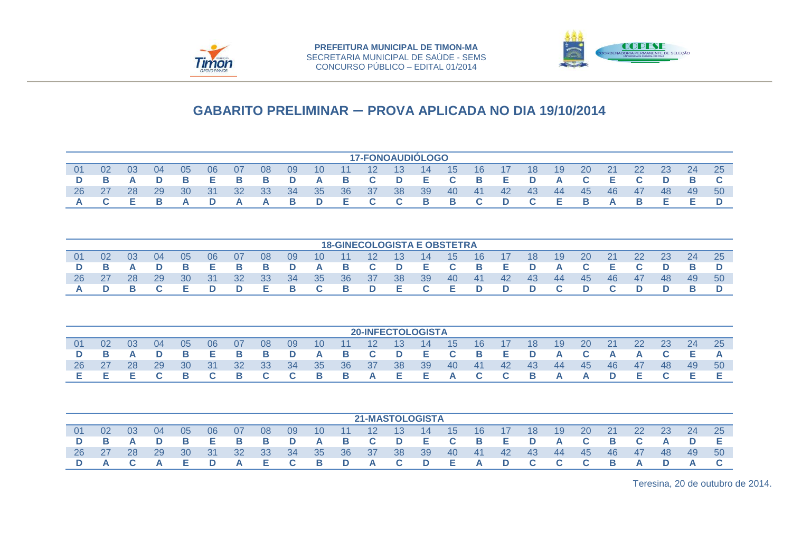



|           |    |    |    |              |    |                   |    |    |                 |    |              |    | <b>17-FONOAUDIÓLOGO</b> |          |              |     |     |    |     |    |     |     |     |     |
|-----------|----|----|----|--------------|----|-------------------|----|----|-----------------|----|--------------|----|-------------------------|----------|--------------|-----|-----|----|-----|----|-----|-----|-----|-----|
| 01        | 02 | 03 | 04 | 05           | 06 | 07                | 08 | 09 | 10 <sup>°</sup> | 11 | 12           | 13 | 14                      | 15       | 16           | 17  | 18  | 19 | 20  | 21 | 22  | 23  | 24  | 25  |
| D         |    | A  | D  |              |    | в                 | B  | D  | A               | B  | C.           | D  | Е                       |          | B            | Е   | D   | A  |     | F. |     |     |     |     |
| <b>26</b> | 27 | 28 | 29 | 30           | 31 | 32 <sup>2</sup>   | 33 | 34 | 35              | 36 | -37          | 38 | 39                      | 40       | -41          | -42 | -43 | 44 | -45 | 46 | -47 | -48 | -49 | -50 |
|           |    |    |    | $\mathbf{A}$ | D  | $\mathbf{\Delta}$ | A  | B. | D               | E  | $\sim$<br>u. | C. | B                       | <b>B</b> | $\mathbf{C}$ |     | C.  |    | B   |    | в   |     |     |     |

|     |    |     |               |     |     |                 |     |     |                 |       |                 |      | <b>18-GINECOLOGISTA E OBSTETRA</b> |     |          |       |                 |     |           |           |    |    |     |     |
|-----|----|-----|---------------|-----|-----|-----------------|-----|-----|-----------------|-------|-----------------|------|------------------------------------|-----|----------|-------|-----------------|-----|-----------|-----------|----|----|-----|-----|
| -01 | 02 | 0.3 | 04            | 05  | 06  | -07             | 08  | 09  | 10 <sup>°</sup> | $-11$ | 12 <sup>°</sup> | -13- | -14                                | -15 | 16       | - 17  | 18 <sup>°</sup> | 19  | <b>20</b> | <b>21</b> | 22 | 23 | 24  | 25  |
|     |    |     |               |     | Е   |                 | в   | D   | A               | в     | $\mathbf{C}$    | D    | - E                                | C.  | <b>B</b> | - E - | D               | A   |           | Е.        |    |    |     |     |
| 26  | 27 | 28  | <sup>29</sup> | 30  | -31 | 32 <sup>°</sup> | -33 | -34 | 35              | 36    | - 37            | 38   | -39                                | 40  | -41      | -42   | -43             | -44 | -45       | -46       | 47 | 48 | -49 | -50 |
|     |    |     |               | . . |     |                 | Е.  |     |                 | в     | D               | Е.   | $\mathbf{C}$                       | E.  | D        | D     | D               |     | D         |           | D  |    |     |     |

|    |    |    |    |           |     |                 |      |     |                |          |                 | <b>20-INFECTOLOGISTA</b> |       |    |              |              |                |                  |       |     |    |    |     |     |
|----|----|----|----|-----------|-----|-----------------|------|-----|----------------|----------|-----------------|--------------------------|-------|----|--------------|--------------|----------------|------------------|-------|-----|----|----|-----|-----|
| 01 | 02 | 03 | 04 | 05        | 06  | 07              | 08   | 09  | 10             | 11       | 12 <sup>°</sup> | -13-                     | 14    | 15 | 16           | 17           | 18             | 19               | 20    | 21  | 22 | 23 | 24  | 25  |
| D  |    |    |    | в         | Е.  | в               | B    | D   | <b>A</b>       | <b>B</b> | <b>C</b> D      |                          | E C B |    |              |              | <b>D</b>       | A                |       | A   | A  |    |     |     |
| 26 | 27 | 28 | 29 | <b>30</b> | -31 | 32 <sup>°</sup> | - 33 | -34 | 35             | 36       | - 37            | -38                      | -39   | 40 | -41          | 42           | -43            | -44              | $-45$ | -46 | 47 | 48 | -49 | -50 |
|    |    |    |    |           |     |                 |      |     | $\overline{B}$ | <b>B</b> | A               | Е.                       | - E   | A  | $\mathbf{C}$ | $\mathbf{C}$ | $\blacksquare$ | $\blacktriangle$ | A     |     |    |    |     |     |

|     |    |    |    |    |     |                 |                 |     |     |                 | <b>21-MASTOLOGISTA</b> |             |     |    |     |     |          |     |           |    |     |    |     |     |
|-----|----|----|----|----|-----|-----------------|-----------------|-----|-----|-----------------|------------------------|-------------|-----|----|-----|-----|----------|-----|-----------|----|-----|----|-----|-----|
| -01 | 02 | 03 | 04 | 05 | 06  | 07              | 08              | -09 | 10  | 11              | $12 \,$                | $\sqrt{13}$ | -14 | 15 | 16  | -17 | 18       | 19  | <b>20</b> | 21 | 22  | 23 | 24  | 25  |
|     |    |    |    |    | Е.  | в               | в               | D   | A   | в               | <b>C</b>               | D           | Е   |    | - в | Е.  | D        | A   |           | B  |     |    |     |     |
| 26  | 27 | 28 | 29 | 30 | -31 | 32 <sup>°</sup> | 33 <sup>°</sup> | -34 | -35 | 36 <sup>°</sup> | -37                    | -38         | -39 | 40 | 41  | -42 | -43      | -44 | 45        | 46 | -47 | 48 | -49 | .50 |
|     |    |    | A  |    |     |                 | Е               |     | в   | D               | A                      |             | D   | Е  | A   | D   | <b>C</b> |     |           | B  | A   |    | A   |     |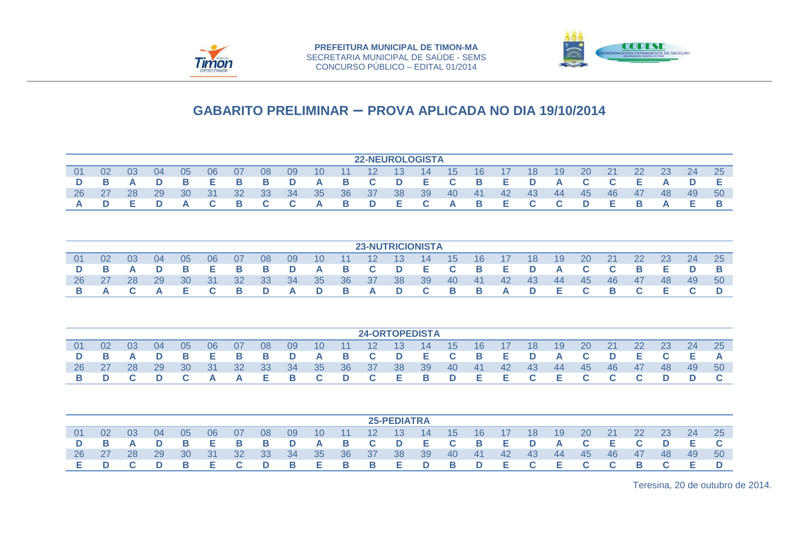



|                |    |          |    |              |    |    |    |    |                 |    | <b>22-NEUROLOGISTA</b> |    |    |    |       |     |     |     |    |    |     |     |     |    |
|----------------|----|----------|----|--------------|----|----|----|----|-----------------|----|------------------------|----|----|----|-------|-----|-----|-----|----|----|-----|-----|-----|----|
|                |    |          |    |              |    |    |    |    |                 |    |                        |    |    |    |       |     |     |     |    |    |     |     |     |    |
| 0 <sub>1</sub> | 02 | 03       | 04 | 05           | 06 | 07 | 08 | 09 | 10 <sup>°</sup> | 11 | 12                     | 13 | 14 | 15 | 16    | 17  | 18  | 19  | 20 | 21 | 22  |     | 24  | 25 |
| D              |    | $\Delta$ | D  |              | E. | B. | B. | D  | A               | B  | C.                     | D  | E  | C. | B     | Е.  | D   | A   |    |    | E.  |     |     |    |
| 26             | 27 | 28       | 29 | 30           | 31 | 32 | 33 | 34 | 35              | 36 | -37                    | 38 | 39 | 40 | $-41$ | -42 | -43 | -44 | 45 | 46 | -47 | -48 | -49 | 50 |
|                |    |          |    | $\mathbf{a}$ |    |    |    |    | A               | B. | D                      | E. | C. | A  | B     | E.  |     |     | D  |    | в   |     |     |    |

|    |    |    |    |    |    |    |    |               |    |          |                   |          | <b>23-NUTRICIONISTA</b> |    |                |     |     |    |           |    |     |     |     |     |
|----|----|----|----|----|----|----|----|---------------|----|----------|-------------------|----------|-------------------------|----|----------------|-----|-----|----|-----------|----|-----|-----|-----|-----|
| 01 | 02 | 03 | 04 | 05 | 06 | 07 | 08 | 09            | 10 | 11       | $12 \overline{ }$ | 13       | 14                      | 15 | 16             | -17 | 18  | 19 | <b>20</b> | 21 | 22  | 23  | 24  | 25  |
|    |    |    |    |    | Е  |    | B  | D             | A  | B.       | $\mathbf{C}$      | <b>D</b> | E                       |    | $\blacksquare$ | Е.  | D   | A  |           |    | B   |     |     |     |
| 26 |    | 28 | 29 | 30 | 31 | 32 | 33 | <sup>34</sup> | 35 | 36       | -37               | 38       | 39                      | 40 | -41            | 42  | -43 | 44 | 45        | 46 | -47 | -48 | -49 | -50 |
|    |    |    |    |    |    |    | D  | A             | D  | <b>B</b> | A                 |          | $\mathbf{C}$            | В. | <b>B</b>       | A   | D.  | Е  | <b>C</b>  | в  |     |     |     |     |

|    |    |    |    |           |       |     |       |     |                 |             |                 |       | <b>24-ORTOPEDISTA</b> |          |     |       |                         |         |           |     |               |     |     |     |
|----|----|----|----|-----------|-------|-----|-------|-----|-----------------|-------------|-----------------|-------|-----------------------|----------|-----|-------|-------------------------|---------|-----------|-----|---------------|-----|-----|-----|
| 01 | 02 | 03 | 04 | 05        | 06    | -07 | 08    | 09  | 10 <sup>°</sup> | $\nabla$ 11 | 12 <sup>°</sup> | -13 - | $ 14\rangle$          | 15       | 16  | 17    | 18                      | 19      | <b>20</b> | 21  | <sup>22</sup> | 23  | 24  | 25  |
| D  |    | A  | D  | B         | Е.    | в.  | - B   | D   | <b>A</b>        | <b>B</b>    | <b>C</b> D      |       | E C B E D             |          |     |       |                         | A       | C.        |     | - E 1         |     |     |     |
| 26 | 27 | 28 | 29 | <b>30</b> | $-31$ | -32 | - 33  | -34 | 35              | -36         | - 37            | 38    | -39                   | -40      | -41 | 42    | - 43                    | - 44    | - 45      | -46 | 47            | -48 | -49 | -50 |
|    |    |    |    |           | A     | A   | - E - | — в | $\mathbf{C}$    | D           | $\mathbf{C}$    | E B   |                       | <b>D</b> | Е.  | 7. E. | $\overline{\mathbf{C}}$ | $E$ $C$ |           |     |               |     |     |     |

|    |    |    |    |    |    |    |    |    |    |    |                   | <b>25-PEDIATRA</b> |    |    |                |     |          |     |    |    |     |    |    |    |
|----|----|----|----|----|----|----|----|----|----|----|-------------------|--------------------|----|----|----------------|-----|----------|-----|----|----|-----|----|----|----|
| 01 | 02 | 03 | 04 | 05 | 06 | 07 | 08 | 09 | 10 | 11 | $12 \overline{ }$ | 13                 | 14 | 15 | 16             |     | 18       | 19  | 20 | 21 | 22  | 23 | 24 | 25 |
|    |    |    |    | B  | Е  | в  | в  | D  | A  | в  | C.                | D                  | Е  | C. | $\blacksquare$ | Е.  | D        | A   |    |    |     |    |    |    |
| 26 | 27 | 28 | 29 | 30 | 31 | 32 | 33 | 34 | 35 | 36 | -37               | 38                 | 39 | 40 | -41            | -42 | -43      | -44 | 45 | 46 | -47 | 48 | 49 | 50 |
|    |    |    |    |    | F. |    | D  | в  | Е  | в  | -B                | E.                 | D  | В. | D              | E   | <b>C</b> | Е   |    |    | B   |    |    |    |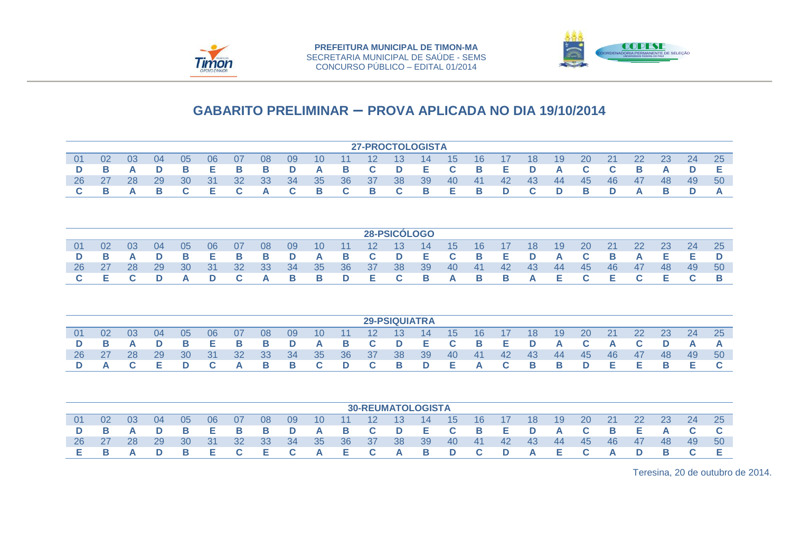



|    |    |    |    |    |    |    |    |    |    |    | <b>27-PROCTOLOGISTA</b>  |                      |    |    |    |    |    |    |    |    |    |    |    |    |
|----|----|----|----|----|----|----|----|----|----|----|--------------------------|----------------------|----|----|----|----|----|----|----|----|----|----|----|----|
| 01 | 02 | 03 | 04 | 05 | 06 | 07 | 08 | 09 | 10 | 11 | 12                       | 13                   | 14 | 15 | 16 | 17 | 18 | 19 | 20 | 21 | 22 | 23 | 24 | 25 |
| D  | в  | A  | D  | в  | Е  | в  | B  | D  | A  | в  | C                        | D                    | Е  | C  | В  | Е  | D  | A  | C  | C  | В  | A  | D  | Е  |
| 26 | 27 | 28 | 29 | 30 | 31 | 32 | 33 | 34 | 35 | 36 | 37                       | 38                   | 39 | 40 | 41 | 42 | 43 | 44 | 45 | 46 | 47 | 48 | 49 | 50 |
| C  | В  | A  | В  | C  | Е  | C  | A  | C  | в  | C  | В                        | C                    | В  | Е  | В  | D  | C  | D  | В  | D  | A  | В  | D  | A  |
|    |    |    |    |    |    |    |    |    |    |    |                          |                      |    |    |    |    |    |    |    |    |    |    |    |    |
|    |    |    |    |    |    |    |    |    |    |    |                          | 28-PSICÓLOGO         |    |    |    |    |    |    |    |    |    |    |    |    |
| 01 | 02 | 03 | 04 | 05 | 06 | 07 | 08 | 09 | 10 | 11 | 12                       | 13                   | 14 | 15 | 16 | 17 | 18 | 19 | 20 | 21 | 22 | 23 | 24 | 25 |
| D  | В  | A  | D  | В  | Е  | в  | B  | D  | A  | в  | C                        | D                    | Е  | C  | В  | Е  | D  | A  | C  | В  | A  | Е  | Е  | D  |
| 26 | 27 | 28 | 29 | 30 | 31 | 32 | 33 | 34 | 35 | 36 | 37                       | 38                   | 39 | 40 | 41 | 42 | 43 | 44 | 45 | 46 | 47 | 48 | 49 | 50 |
| C  | Е  | C  | D  | A  | D  | C  | A  | в  | в  | D  | Е                        | C                    | В  | A  | В  | В  | A  | Е  | C  | Е  | C  | Е  | C  | В  |
|    |    |    |    |    |    |    |    |    |    |    |                          | <b>29-PSIQUIATRA</b> |    |    |    |    |    |    |    |    |    |    |    |    |
| 01 | 02 | 03 | 04 | 05 | 06 | 07 | 08 | 09 | 10 | 11 | 12                       | 13                   | 14 | 15 | 16 | 17 | 18 | 19 | 20 | 21 | 22 | 23 | 24 | 25 |
| D  | В  | A  | D  | в  | Е  | в  | B  | D  | A  | в  | C                        | D                    | Е  | C  | В  | Е  | D  | A  | C  | A  | C  | D  | A  | A  |
| 26 | 27 | 28 | 29 | 30 | 31 | 32 | 33 | 34 | 35 | 36 | 37                       | 38                   | 39 | 40 | 41 | 42 | 43 | 44 | 45 | 46 | 47 | 48 | 49 | 50 |
| D  | A  | C  | Е  | D  | C  | A  | В  | В  | C  | D  | C                        | В                    | D  | Е  | A  | C  | В  | В  | D  | Е  | Е  | В  | Е  | C  |
|    |    |    |    |    |    |    |    |    |    |    | <b>30-REUMATOLOGISTA</b> |                      |    |    |    |    |    |    |    |    |    |    |    |    |
| 01 | 02 | 03 | 04 | 05 | 06 | 07 | 08 | 09 | 10 | 11 | 12                       | 13                   | 14 | 15 | 16 | 17 | 18 | 19 | 20 | 21 | 22 | 23 | 24 | 25 |
| D  | В  | A  | D  | в  | Е  | в  | B  | D  | A  | в  | C                        | D                    | Е  | C  | B  | Е  | D  | A  | C  | В  | Е  | A  | C  | C  |
| 26 | 27 | 28 | 29 | 30 | 31 | 32 | 33 | 34 | 35 | 36 | 37                       | 38                   | 39 | 40 | 41 | 42 | 43 | 44 | 45 | 46 | 47 | 48 | 49 | 50 |
| Е  | в  | A  | D  | в  | Е  | C  | Е  | C  | A  | Е  | C                        | А                    | В  | D  | C. | D  | A  | Е  | C  | А  | D  | В  | C  | Е  |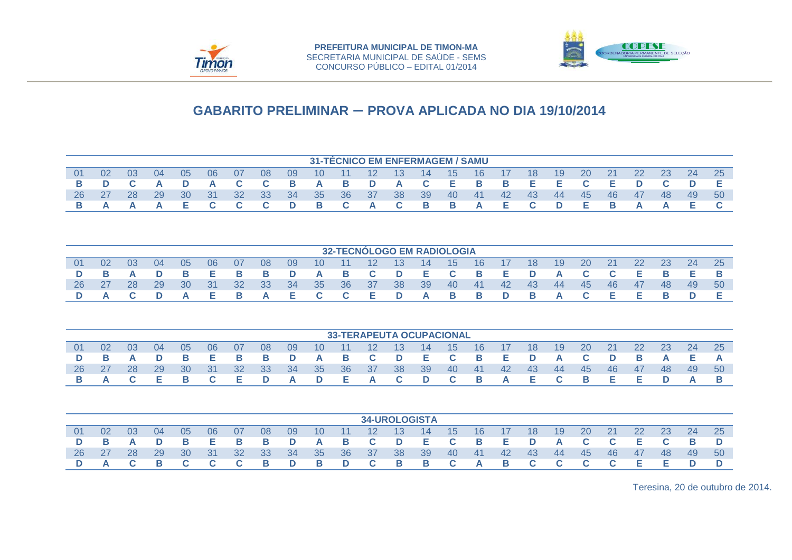



|    |     |    |    |    |     |    |    |    |     |           |                   | <b>31-TÉCNICO EM ENFERMAGEM / SAMU</b> |          |    |     |     |     |     |           |    |     |     |    |     |
|----|-----|----|----|----|-----|----|----|----|-----|-----------|-------------------|----------------------------------------|----------|----|-----|-----|-----|-----|-----------|----|-----|-----|----|-----|
| 01 | 02  | 03 | 04 | 05 | 06  | 07 | 08 | 09 | 10  | 11        | $12 \overline{ }$ | 13                                     | 14       | 15 | 16  | -17 | 18  | 19  | <b>20</b> | 21 | 22  | 23  | 24 | 25  |
|    |     |    | A  | D  | A   |    | C. | В. | A   | B         | D                 | A                                      | <b>C</b> | Е. | — в | в   | E.  |     |           | Е. |     |     |    |     |
| 26 | -27 | 28 | 29 | 30 | -31 | 32 | 33 | 34 | -35 | <b>36</b> | - 37              | 38                                     | 39       | 40 | -41 | -42 | -43 | -44 | -45       | 46 | -47 | -48 | 49 | -50 |
|    |     |    |    |    |     |    |    | D. | В.  |           | A                 |                                        | <b>B</b> | В. | A   | E.  | C.  |     | . E.      |    | A   |     |    |     |

|    |      |           |       |    |      |     |          |     |                 |              |       | <b>32-TECNÓLOGO EM RADIOLOGIA</b> |                |              |                         |     |          |     |           |           |           |     |     |     |
|----|------|-----------|-------|----|------|-----|----------|-----|-----------------|--------------|-------|-----------------------------------|----------------|--------------|-------------------------|-----|----------|-----|-----------|-----------|-----------|-----|-----|-----|
| 01 | 02   | 03        | 04    | 05 | 06   | -07 | 08       | 09  | 10 <sup>°</sup> | $\sqrt{11}$  | 12    | 13 <sup>°</sup>                   | -14            | -15          | 16                      | -17 | 18       | 19  | <b>20</b> | <b>21</b> | <b>22</b> | 23  | 24  | 25  |
|    |      |           | D     |    | - 61 |     | <b>B</b> | D   | <b>A</b>        | B.           | $C$ D |                                   | - E 1          | $\mathbf{C}$ | $\blacksquare$          | Е.  | <b>D</b> | A   | <b>C</b>  |           | E.        |     |     |     |
| 26 | - 27 | <b>28</b> | 29    | 30 | 31   | 32  | -33-     | -34 | 35              | <b>36</b>    | - 37  | -38                               | -39            | 40           | 41                      | 42  | -43      | -44 | - 45      | -46       | 47        | -48 | -49 | -50 |
|    |      |           | $C$ D | A  | E.   |     | A        |     | E C             | $\mathbf{C}$ | - E   | <b>D</b>                          | $\blacksquare$ | — в          | $\overline{\mathbf{B}}$ | D.  | <b>B</b> | A   |           | E.        | E.        |     |     |     |

|     |     |     |    |    |    |           |    |           |          |             |              |     | <b>33-TERAPEUTA OCUPACIONAL</b> |          |                 |     |     |     |           |    |    |    |           |           |
|-----|-----|-----|----|----|----|-----------|----|-----------|----------|-------------|--------------|-----|---------------------------------|----------|-----------------|-----|-----|-----|-----------|----|----|----|-----------|-----------|
| -01 | 02  | -03 | 04 | 05 | 06 | 07        | 08 | 09        | 10       | $\sqrt{11}$ | $12 \,$      | -13 | 14                              | 15       | 16 <sup>°</sup> | -17 | 18  | 19  | <b>20</b> | 21 | 22 | 23 | <b>24</b> | <b>25</b> |
|     |     |     |    | в  | Е. |           | в. | D         | <b>A</b> | <b>B</b>    | $\mathbf{C}$ | D   | - E 1                           | <b>C</b> | $\blacksquare$  | Е.  | D   | A   |           |    |    |    |           |           |
| 26  | -27 | 28  | 29 | 30 | 31 | <b>32</b> | 33 | <b>34</b> | -35      | 36          | - 37         | -38 | -39                             | 40       | -41             | 42  | -43 | -44 | -45       | 46 | 47 | 48 | -49       | 50        |
|     |     |     |    |    |    | Е         | D  | A         | D        | E.          | A            |     | D                               | C.       | <b>B</b>        | A   | E.  |     | в         |    |    |    |           |           |

|    |    |    |    |    |     |     |     |    |    |                 |          |      | <b>34-UROLOGISTA</b> |    |     |     |     |     |    |    |     |    |    |     |
|----|----|----|----|----|-----|-----|-----|----|----|-----------------|----------|------|----------------------|----|-----|-----|-----|-----|----|----|-----|----|----|-----|
| 01 | 02 | 03 | 04 | 05 | 06  | 07  | 08  | 09 | 10 | $\overline{11}$ | 12       | -13- | 14                   | 15 | 16  |     | 18  | 19  | 20 | 21 | 22  | 23 | 24 | 25  |
|    |    |    |    |    | Е   | в   | в   | D  | A  | в               | C.       | D    | E.                   | C. | - B | E.  | D   | A   |    |    | E.  |    |    |     |
| 26 | 27 | 28 | 29 | 30 | -31 | -32 | -33 | 34 | 35 | 36 <sub>1</sub> | -37      | 38   | 39                   | 40 | 41  | -42 | -43 | -44 | 45 | 46 | -47 | 48 | 49 | -50 |
|    |    |    |    |    |     |     | в   | D  | в  | D               | <b>C</b> | в    | в                    | C. | A   | в   | C.  |     |    |    | E.  |    |    |     |